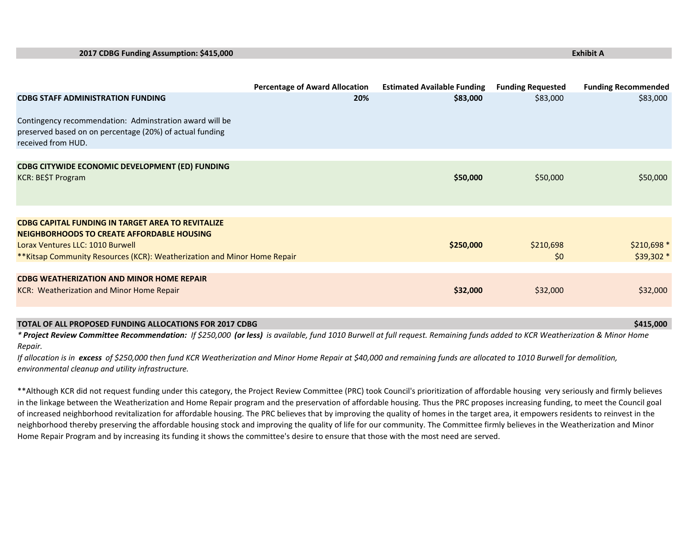| 2017 CDBG Funding Assumption: \$415,000                                                                                                   |                                       |                                    | <b>Exhibit A</b>         |                            |
|-------------------------------------------------------------------------------------------------------------------------------------------|---------------------------------------|------------------------------------|--------------------------|----------------------------|
|                                                                                                                                           |                                       |                                    |                          |                            |
|                                                                                                                                           | <b>Percentage of Award Allocation</b> | <b>Estimated Available Funding</b> | <b>Funding Requested</b> | <b>Funding Recommended</b> |
| <b>CDBG STAFF ADMINISTRATION FUNDING</b>                                                                                                  | 20%                                   | \$83,000                           | \$83,000                 | \$83,000                   |
| Contingency recommendation: Adminstration award will be<br>preserved based on on percentage (20%) of actual funding<br>received from HUD. |                                       |                                    |                          |                            |
|                                                                                                                                           |                                       |                                    |                          |                            |
| CDBG CITYWIDE ECONOMIC DEVELOPMENT (ED) FUNDING<br>KCR: BE\$T Program                                                                     |                                       | \$50,000                           | \$50,000                 | \$50,000                   |
|                                                                                                                                           |                                       |                                    |                          |                            |
| <b>CDBG CAPITAL FUNDING IN TARGET AREA TO REVITALIZE</b>                                                                                  |                                       |                                    |                          |                            |
| <b>NEIGHBORHOODS TO CREATE AFFORDABLE HOUSING</b>                                                                                         |                                       |                                    |                          |                            |
| Lorax Ventures LLC: 1010 Burwell                                                                                                          |                                       | \$250,000                          | \$210,698                | $$210,698*$                |
| **Kitsap Community Resources (KCR): Weatherization and Minor Home Repair                                                                  |                                       |                                    | \$0                      | $$39,302*$                 |
|                                                                                                                                           |                                       |                                    |                          |                            |
| <b>CDBG WEATHERIZATION AND MINOR HOME REPAIR</b>                                                                                          |                                       |                                    |                          |                            |
| KCR: Weatherization and Minor Home Repair                                                                                                 |                                       | \$32,000                           | \$32,000                 | \$32,000                   |
|                                                                                                                                           |                                       |                                    |                          |                            |

## **TOTAL OF ALL PROPOSED FUNDING ALLOCATIONS FOR 2017 CDBG \$415,000**

\* Project Review Committee Recommendation: If \$250,000 (or less) is available, fund 1010 Burwell at full request. Remaining funds added to KCR Weatherization & Minor Home *Repair.*

If allocation is in excess of \$250,000 then fund KCR Weatherization and Minor Home Repair at \$40,000 and remaining funds are allocated to 1010 Burwell for demolition, *environmental cleanup and utility infrastructure.*

\*\*Although KCR did not request funding under this category, the Project Review Committee (PRC) took Council's prioritization of affordable housing very seriously and firmly believes in the linkage between the Weatherization and Home Repair program and the preservation of affordable housing. Thus the PRC proposes increasing funding, to meet the Council goal of increased neighborhood revitalization for affordable housing. The PRC believes that by improving the quality of homes in the target area, it empowers residents to reinvest in the neighborhood thereby preserving the affordable housing stock and improving the quality of life for our community. The Committee firmly believes in the Weatherization and Minor Home Repair Program and by increasing its funding it shows the committee's desire to ensure that those with the most need are served.